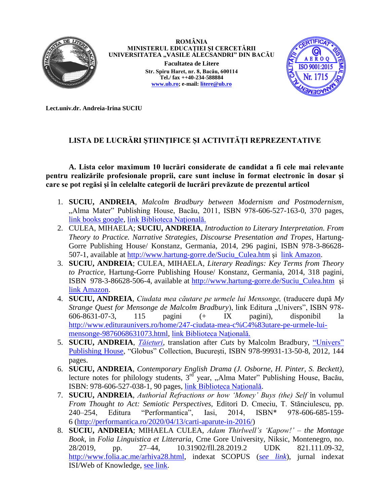

**ROMÂNIA MINISTERUL EDUCAȚIEI ŞI CERCETĂRII** UNIVERSITATEA "VASILE ALECSANDRI" DIN BACĂU **Facultatea de Litere Str. Spiru Haret, nr. 8, Bacău, 600114 Tel./ fax ++40-234-588884 [www.ub.ro;](http://www.ub.ro/) e-mail: liter[e@ub.ro](mailto:rector@ub.ro)**



**Lect.univ.dr. Andreia-Irina SUCIU**

# **LISTA DE LUCRĂRI ŞTIINŢIFICE ȘI ACTIVITĂȚI REPREZENTATIVE**

**A. Lista celor maximum 10 lucrări considerate de candidat a fi cele mai relevante pentru realizările profesionale proprii, care sunt incluse în format electronic în dosar şi care se pot regăsi şi în celelalte categorii de lucrări prevăzute de prezentul articol**

- 1. **SUCIU, ANDREIA**, *Malcolm Bradbury between Modernism and Postmodernism*, "Alma Mater" Publishing House, Bacău, 2011, ISBN 978-606-527-163-0, 370 pages, [link books google,](https://books.google.ro/books/about/Malcolm_Bradbury_Between_Modernism_and_P.html?id=ldImMwEACAAJ&redir_esc=y) [link Biblioteca Naţională.](https://aleph.bibnat.ro/F/J72F3HIJXIETUKG7JGDLRFB9V6KGFGRQ127L7KXS8ITQR5QHGF-16558?func=full-set-set&set_number=004150&set_entry=000003&format=999)
- 2. CULEA, MIHAELA; **SUCIU, ANDREIA**, *Introduction to Literary Interpretation. From Theory to Practice. Narrative Strategies, Discourse Presentation and Tropes*, Hartung-Gorre Publishing House/ Konstanz, Germania, 2014, 296 pagini, ISBN 978-3-86628- 507-1, available at [http://www.hartung-gorre.de/Suciu\\_Culea.htm](http://www.hartung-gorre.de/Suciu_Culea.htm) şi [link Amazon.](http://www.amazon.de/Introduction-Literary-Interpretation-Theory-Practice/dp/3866285078/ref=sr_1_3?ie=UTF8&qid=1411644282&sr=8-3&keywords=culea+mihaela)
- 3. **SUCIU, ANDREIA**; CULEA, MIHAELA, *Literary Readings: Key Terms from Theory to Practice*, Hartung-Gorre Publishing House/ Konstanz, Germania, 2014, 318 pagini, ISBN 978-3-86628-506-4, available at [http://www.hartung-gorre.de/Suciu\\_Culea.htm](http://www.hartung-gorre.de/Suciu_Culea.htm) şi [link Amazon.](https://www.amazon.com/LITERARY-READINGS-TERMS-THEORY-PRACTICE/dp/386628506X)
- 4. **SUCIU, ANDREIA**, *Ciudata mea căutare pe urmele lui Mensonge,* (traducere după *My Strange Quest for Mensonge de Malcolm Bradbury*), link Editura "Univers", ISBN 978-606-8631-07-3, 115 pagini (+ IX pagini), disponibil la [http://www.edituraunivers.ro/home/247-ciudata-mea-c%C4%83utare-pe-urmele-lui](http://www.edituraunivers.ro/home/247-ciudata-mea-c%C4%83utare-pe-urmele-lui-mensonge-9876068631073.html)[mensonge-9876068631073.html,](http://www.edituraunivers.ro/home/247-ciudata-mea-c%C4%83utare-pe-urmele-lui-mensonge-9876068631073.html) link Biblioteca Natională.
- 5. **SUCIU, ANDREIA**, *[Tăieturi,](https://orizontprincarte.wordpress.com/tag/promotii-univers/)* translation after *Cuts* by Malcolm Bradbury, ["Univers"](https://edituraunivers.ro/produs/taieturi/)  [Publishing House,](https://edituraunivers.ro/produs/taieturi/) "Globus" Collection, Bucureşti, ISBN 978-99931-13-50-8, 2012, 144 pages.
- 6. **SUCIU, ANDREIA**, *Contemporary English Drama (J. Osborne, H. Pinter, S. Beckett)*, lecture notes for philology students,  $3^{rd}$  year, "Alma Mater" Publishing House, Bacău, ISBN: 978-606-527-038-1, 90 pages, [link Biblioteca Naţională.](https://aleph.bibnat.ro/F/J72F3HIJXIETUKG7JGDLRFB9V6KGFGRQ127L7KXS8ITQR5QHGF-69610?func=full-set-set&set_number=006532&set_entry=000001&format=999)
- 7. **SUCIU, ANDREIA**, *Authorial Refractions or how 'Money' Buys (the) Self* în volumul *From Thought to Act: Semiotic Perspectives,* Editori D. Cmeciu, T. Stănciulescu, pp. 240–254, Editura "Performantica", Iasi, 2014, ISBN\* 978-606-685-159- 6 [\(http://performantica.ro/2020/04/13/carti-aparute-in-2016/\)](http://performantica.ro/2020/04/13/carti-aparute-in-2016/)
- 8. **SUCIU, ANDREIA**; MIHAELA CULEA, *Adam Thirlwell's 'Kapow!' – the Montage Book*, in *Folia Linguistica et Litteraria*, Crne Gore University, Niksic, Montenegro, no. 28/2019, pp. 27–44, 10.31902/fll.28.2019.2 UDK 821.111.09-32, [http://www.folia.ac.me/arhiva28.html,](http://www.folia.ac.me/arhiva28.html) indexat SCOPUS (*[see link](https://www.scopus.com/authid/detail.uri?authorId=37063827000)*), jurnal indexat ISI/Web of Knowledge, [see link.](https://mjl.clarivate.com/search-results)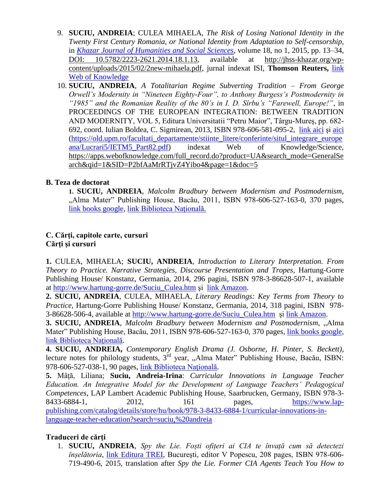- 9. **SUCIU, ANDREIA**; CULEA MIHAELA, *The Risk of Losing National Identity in the Twenty First Century Romania, or National Identity from Adaptation to Self-censorship*, in *[Khazar Journal of Humanities and Social Sciences](https://mjl.clarivate.com/search-results)*, volume 18, no 1, 2015, pp. 13–34, [DOI: 10.5782/2223-2621.2014.18.1.13,](http://jhss-khazar.org/wp-content/uploads/2015/02/2new-mihaela.pdf#_blank) available at [http://jhss-khazar.org/wp](http://jhss-khazar.org/wp-content/uploads/2015/02/2new-mihaela.pdf)[content/uploads/2015/02/2new-mihaela.pdf,](http://jhss-khazar.org/wp-content/uploads/2015/02/2new-mihaela.pdf) jurnal indexat ISI, **Thomson Reuters,** [link](https://apps.webofknowledge.com/full_record.do?product=WOS&search_mode=GeneralSearch&qid=1&SID=D5hqnles8q2xtswp58j&page=1&doc=2)  [Web of Knowledge](https://apps.webofknowledge.com/full_record.do?product=WOS&search_mode=GeneralSearch&qid=1&SID=D5hqnles8q2xtswp58j&page=1&doc=2)
- 10. **SUCIU, ANDREIA**, *A Totalitarian Regime Subverting Tradition – From George Orwell's Modernity in "Nineteen Eighty-Four", to Anthony Burgess's Postmodernity in "1985" and the Romanian Reality of the 80's in I. D. Sîrbu's "Farewell, Europe!"*, in PROCEEDINGS OF THE EUROPEAN INTEGRATION: BETWEEN TRADITION AND MODERNITY, VOL 5, Editura Universitatii "Petru Maior", Târgu-Mureş, pp. 682- 692, coord. Iulian Boldea, C. Sigmirean, 2013, ISBN 978-606-581-095-2, [link aici](https://old.upm.ro/facultati_departamente/stiinte_litere/conferinte/situl_integrare_europeana/engllist5.html) şi [aici](https://old.upm.ro/facultati_departamente/stiinte_litere/conferinte/situl_integrare_europeana/Lucrari5/IETM5_Part82.pdf) [\(https://old.upm.ro/facultati\\_departamente/stiinte\\_litere/conferinte/situl\\_integrare\\_europe](https://old.upm.ro/facultati_departamente/stiinte_litere/conferinte/situl_integrare_europeana/Lucrari5/IETM5_Part82.pdf) [ana/Lucrari5/IETM5\\_Part82.pdf\)](https://old.upm.ro/facultati_departamente/stiinte_litere/conferinte/situl_integrare_europeana/Lucrari5/IETM5_Part82.pdf) indexat Web of Knowledge/Science, [https://apps.webofknowledge.com/full\\_record.do?product=UA&search\\_mode=GeneralSe](https://apps.webofknowledge.com/full_record.do?product=UA&search_mode=GeneralSearch&qid=1&SID=P2bfAaMrRTjvZ4Yibo4&page=1&doc=5) [arch&qid=1&SID=P2bfAaMrRTjvZ4Yibo4&page=1&doc=5](https://apps.webofknowledge.com/full_record.do?product=UA&search_mode=GeneralSearch&qid=1&SID=P2bfAaMrRTjvZ4Yibo4&page=1&doc=5)

## **B. Teza de doctorat**

**1. SUCIU, ANDREIA**, *Malcolm Bradbury between Modernism and Postmodernism*, "Alma Mater" Publishing House, Bacău, 2011, ISBN 978-606-527-163-0, 370 pages, [link books google,](https://books.google.ro/books/about/Malcolm_Bradbury_Between_Modernism_and_P.html?id=ldImMwEACAAJ&redir_esc=y) [link Biblioteca Naţională.](https://aleph.bibnat.ro/F/J72F3HIJXIETUKG7JGDLRFB9V6KGFGRQ127L7KXS8ITQR5QHGF-16558?func=full-set-set&set_number=004150&set_entry=000003&format=999)

#### **C. Cărţi, capitole carte, cursuri Cărţi şi cursuri**

**1.** CULEA, MIHAELA; **SUCIU, ANDREIA**, *Introduction to Literary Interpretation. From Theory to Practice. Narrative Strategies, Discourse Presentation and Tropes*, Hartung-Gorre Publishing House/ Konstanz, Germania, 2014, 296 pagini, ISBN 978-3-86628-507-1, available at [http://www.hartung-gorre.de/Suciu\\_Culea.htm](http://www.hartung-gorre.de/Suciu_Culea.htm) şi [link Amazon.](http://www.amazon.de/Introduction-Literary-Interpretation-Theory-Practice/dp/3866285078/ref=sr_1_3?ie=UTF8&qid=1411644282&sr=8-3&keywords=culea+mihaela)

**2. SUCIU, ANDREIA**, CULEA, MIHAELA, *Literary Readings: Key Terms from Theory to Practice,* Hartung-Gorre Publishing House/ Konstanz, Germania, 2014, 318 pagini, ISBN 978- 3-86628-506-4, available at [http://www.hartung-gorre.de/Suciu\\_Culea.htm](http://www.hartung-gorre.de/Suciu_Culea.htm) şi [link Amazon.](https://www.amazon.com/LITERARY-READINGS-TERMS-THEORY-PRACTICE/dp/386628506X)

**3. SUCIU, ANDREIA**, *Malcolm Bradbury between Modernism and Postmodernism*, "Alma Mater" Publishing House, Bacău, 2011, ISBN 978-606-527-163-0, 370 pages, [link books google,](https://books.google.ro/books/about/Malcolm_Bradbury_Between_Modernism_and_P.html?id=ldImMwEACAAJ&redir_esc=y) link Biblioteca Natională.

**4. SUCIU, ANDREIA,** *Contemporary English Drama (J. Osborne, H. Pinter, S. Beckett)*, lecture notes for philology students, 3<sup>rd</sup> year, "Alma Mater" Publishing House, Bacău, ISBN: 978-606-527-038-1, 90 pages, [link Biblioteca Naţională.](https://aleph.bibnat.ro/F/J72F3HIJXIETUKG7JGDLRFB9V6KGFGRQ127L7KXS8ITQR5QHGF-69610?func=full-set-set&set_number=006532&set_entry=000001&format=999)

**5.** Mâţă, Liliana; **Suciu, Andreia-Irina**: *Curricular Innovations in Language Teacher Education. An Integrative Model for the Development of Language Teachers' Pedagogical Competences*, LAP Lambert Academic Publishing House, Saarbrucken, Germany, ISBN 978-3 8433-6884-1, 2012, 161 pages, [https://www.lap](https://www.lap-publishing.com/catalog/details/store/hu/book/978-3-8433-6884-1/curricular-innovations-in-language-teacher-education?search=suciu,%20andreia)[publishing.com/catalog/details/store/hu/book/978-3-8433-6884-1/curricular-innovations-in](https://www.lap-publishing.com/catalog/details/store/hu/book/978-3-8433-6884-1/curricular-innovations-in-language-teacher-education?search=suciu,%20andreia)[language-teacher-education?search=suciu,%20andreia](https://www.lap-publishing.com/catalog/details/store/hu/book/978-3-8433-6884-1/curricular-innovations-in-language-teacher-education?search=suciu,%20andreia)

## **Traduceri de cărţi**

1. **SUCIU, ANDREIA**, *Spy the Lie. Foști ofițeri ai CIA te învață cum să detectezi înșelătoria*, [link Editura TREI,](https://www.edituratrei.ro/carte/susan-carnicero-spy-the-lie-fosti-ofiteri-cia-te-invata-cum-sa-detectezi-inselatoriile/2819/) Bucureşti, editor V Popescu, 208 pages, ISBN 978-606- 719-490-6, 2015, translation after *Spy the Lie. Former CIA Agents Teach You How to*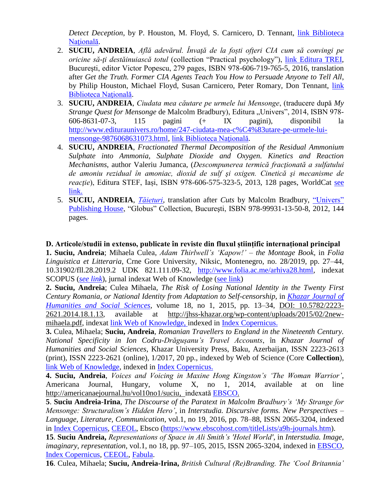*Detect Deception*, by P. Houston, M. Floyd, S. Carnicero, D. Tennant, [link Biblioteca](https://aleph.bibnat.ro/F/J72F3HIJXIETUKG7JGDLRFB9V6KGFGRQ127L7KXS8ITQR5QHGF-62306?func=full-set-set&set_number=006338&set_entry=000007&format=999)  Natională.

- 2. **SUCIU, ANDREIA**, *Află adevărul. Învaţă de la foști ofțeri CIA cum să convingi pe oricine să-ţi destăinuiască totul* (collection "Practical psychology"), [link Editura TREI,](https://www.edituratrei.ro/carte/susan-carnicero-afla-adevarul-invata-de-la-fosti-agenti-cia-cum-sa-convingi-pe-oricine-sa-ti-destainuiasca-totul/2936/) Bucureşti, editor Victor Popescu, 279 pages, ISBN 978-606-719-765-5, 2016, translation after *Get the Truth. Former CIA Agents Teach You How to Persuade Anyone to Tell All*, by Philip Houston, Michael Floyd, Susan Carnicero, Peter Romary, Don Tennant, [link](https://aleph.bibnat.ro/F/J72F3HIJXIETUKG7JGDLRFB9V6KGFGRQ127L7KXS8ITQR5QHGF-63100?func=full-set-set&set_number=006369&set_entry=000006&format=999)  [Biblioteca Naţională.](https://aleph.bibnat.ro/F/J72F3HIJXIETUKG7JGDLRFB9V6KGFGRQ127L7KXS8ITQR5QHGF-63100?func=full-set-set&set_number=006369&set_entry=000006&format=999)
- 3. **SUCIU, ANDREIA**, *Ciudata mea căutare pe urmele lui Mensonge*, (traducere după *My Strange Quest for Mensonge* de Malcolm Bradbury), Editura "Univers", 2014, ISBN 978-606-8631-07-3, 115 pagini (+ IX pagini), disponibil la [http://www.edituraunivers.ro/home/247-ciudata-mea-c%C4%83utare-pe-urmele-lui](http://www.edituraunivers.ro/home/247-ciudata-mea-c%C4%83utare-pe-urmele-lui-mensonge-9876068631073.html)[mensonge-9876068631073.html,](http://www.edituraunivers.ro/home/247-ciudata-mea-c%C4%83utare-pe-urmele-lui-mensonge-9876068631073.html) [link Biblioteca Naţională.](https://aleph.bibnat.ro/F/UAH8FLLC6GJNAVJ6FJ2DM8RE197C2DE3X82MXF6NGQAFRB5LFC-08133?func=full-set-set&set_number=038722&set_entry=000009&format=999)
- 4. **SUCIU, ANDREIA**, *Fractionated Thermal Decomposition of the Residual Ammonium Sulphate into Ammonia, Sulphate Dioxide and Oxygen. Kinetics and Reaction Mechanisms*, author Valeriu Jumanca, (*Descompunerea termică fracţionată a sulfatului de amoniu rezidual în amoniac, dioxid de sulf şi oxigen. Cinetică şi mecanisme de reactie*), Editura STEF, Iasi, ISBN 978-606-575-323-5, 2013, 128 pages, WorldCat see [link.](https://www.worldcat.org/title/fraktionerte-thermische-zersetzung-von-ruckstandigem-ammoniumsulfat-in-ammoniak-schwefeldioxid-und-sauerstoff-kinetik-und-reaktionsmechanismen/oclc/882534756&referer=brief_results)
- 5. **SUCIU, ANDREIA**, *[Tăieturi,](https://orizontprincarte.wordpress.com/tag/promotii-univers/)* translation after *Cuts* by Malcolm Bradbury, ["Univers"](https://edituraunivers.ro/produs/taieturi/)  [Publishing House,](https://edituraunivers.ro/produs/taieturi/) "Globus" Collection, Bucureşti, ISBN 978-99931-13-50-8, 2012, 144 pages.

### **D. Articole/studii in extenso, publicate în reviste din fluxul științific internațional principal**

**1. Suciu, Andreia**; Mihaela Culea, *Adam Thirlwell's 'Kapow!' – the Montage Book*, in *Folia Linguistica et Litteraria*, Crne Gore University, Niksic, Montenegro, no. 28/2019, pp. 27–44, 10.31902/fll.28.2019.2 UDK 821.111.09-32, [http://www.folia.ac.me/arhiva28.html,](http://www.folia.ac.me/arhiva28.html) indexat SCOPUS (*[see link](https://www.scopus.com/authid/detail.uri?authorId=37063827000)*), jurnal indexat Web of Knowledge [\(see link\)](https://mjl.clarivate.com/search-results)

**2. Suciu, Andreia**; Culea Mihaela, *The Risk of Losing National Identity in the Twenty First Century Romania, or National Identity from Adaptation to Self-censorship*, in *[Khazar Journal of](https://mjl.clarivate.com/search-results)  [Humanities and Social Sciences](https://mjl.clarivate.com/search-results)*, volume 18, no 1, 2015, pp. 13–34, [DOI: 10.5782/2223-](http://jhss-khazar.org/wp-content/uploads/2015/02/2new-mihaela.pdf#_blank) [2621.2014.18.1.13,](http://jhss-khazar.org/wp-content/uploads/2015/02/2new-mihaela.pdf#_blank) available at [http://jhss-khazar.org/wp-content/uploads/2015/02/2new](http://jhss-khazar.org/wp-content/uploads/2015/02/2new-mihaela.pdf)[mihaela.pdf,](http://jhss-khazar.org/wp-content/uploads/2015/02/2new-mihaela.pdf) indexat [link Web of Knowledge,](https://apps.webofknowledge.com/full_record.do?product=WOS&search_mode=GeneralSearch&qid=1&SID=D5hqnles8q2xtswp58j&page=1&doc=2) indexed in [Index Copernicus.](https://journals.indexcopernicus.com/search/journal/issue?issueId=all&journalId=33879)

**3.** Culea, Mihaela; **Suciu, Andreia**, *Romanian Travellers to England in the Nineteenth Century. National Specificity in Ion Codru-Drăgușanu's Travel Accounts*, în *Khazar Journal of Humanities and Social Sciences*, Khazar University Press, Baku, Azerbaijan, ISSN 2223-2613 (print), ISSN 2223-2621 (online), 1/2017, 20 pp., indexed by Web of Science (Core **Collection**), [link Web of Knowledge,](https://apps.webofknowledge.com/full_record.do?product=WOS&search_mode=GeneralSearch&qid=1&SID=D5hqnles8q2xtswp58j&page=1&doc=1) indexed in [Index Copernicus.](https://journals.indexcopernicus.com/search/journal/issue?issueId=all&journalId=33879)

**4. Suciu, Andreia**, *Voices and Voicing in Maxine Hong Kingston's 'The Woman Warrior'*, Americana Journal, Hungary, volume X, no 1, 2014, available at on line [http://americanaejournal.hu/vol10no1/suciu,](http://americanaejournal.hu/vol10no1/suciu) indexată [EBSCO.](https://www.ebscohost.com/titleLists/a9h-journals.htm)

**5**. **Suciu Andreia**-**Irina**, *The Discourse of the Paratext in Malcolm Bradbury's 'My Strange for Mensonge: Structuralism's Hidden Hero'*, in *Interstudia. Discursive forms. New Perspectives – Language, Literature, Communication*, vol.1, no 19, 2016, pp. 78–88, ISSN 2065-3204, indexed in [Index Copernicus,](https://journals.indexcopernicus.com/search/details?id=7970) [CEEOL,](https://www.ceeol.com/search/journal-detail?id=1138) Ebsco [\(https://www.ebscohost.com/titleLists/a9h-journals.htm\)](https://www.ebscohost.com/titleLists/a9h-journals.htm).

**15**. **Suciu Andreia,** *Representations of Space in Ali Smith's 'Hotel World'*, in *Interstudia. Image, imaginary, representation*, vol.1, no 18, pp. 97–105, 2015, ISSN 2065-3204, indexed in [EBSCO,](https://www.ebscohost.com/titleLists/a9h-journals.htm) [Index Copernicus,](https://journals.indexcopernicus.com/search/details?id=7970) [CEEOL,](https://www.ceeol.com/search/journal-detail?id=1138) [Fabula.](https://www.fabula.org/actualites/interstudia-no18-2015image-imaginary-representation_71092.php)

**16**. Culea, Mihaela; **Suciu, Andreia-Irina,** *British Cultural (Re)Branding. The 'Cool Britannia'*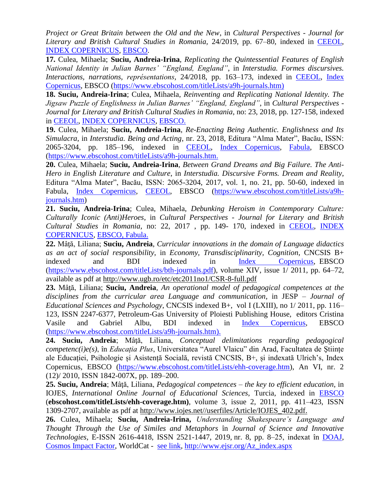*Project or Great Britain between the Old and the New*, in *Cultural Perspectives - Journal for Literary and British Cultural Studies in Romania,* 24/2019, pp. 67–80, indexed in [CEEOL,](https://www.ceeol.com/search/journal-detail?id=628) [INDEX COPERNICUS,](https://journals.indexcopernicus.com/search/details?id=22996) [EBSCO.](https://www.ebscohost.com/titleLists/a9h-journals.htm)

**17.** Culea, Mihaela; **Suciu, Andreia-Irina**, *Replicating the Quintessential Features of English National Identity in Julian Barnes' "England, England"*, in *Interstudia. Formes discursives. Interactions, narrations, représentations*, 24/2018, pp. 163–173, indexed in [CEEOL,](https://www.ceeol.com/search/journal-detail?id=1138) [Index](https://journals.indexcopernicus.com/search/form)  [Copernicus,](https://journals.indexcopernicus.com/search/form) EBSCO [\(https://www.ebscohost.com/titleLists/a9h-journals.htm\)](https://www.ebscohost.com/titleLists/a9h-journals.htm)

**18. Suciu, Andreia-Irina**; Culea, Mihaela, *Reinventing and Replicating National Identity. The Jigsaw Puzzle of Englishness in Julian Barnes' "England, England"*, in *Cultural Perspectives - Journal for Literary and British Cultural Studies in Romania*, no: 23, 2018, pp. 127-158, indexed in [CEEOL,](https://www.ceeol.com/search/journal-detail?id=628) [INDEX COPERNICUS,](https://journals.indexcopernicus.com/search/details?id=22996) [EBSCO.](https://www.ebscohost.com/titleLists/a9h-journals.htm)

**19.** Culea, Mihaela; **Suciu, Andreia-Irina**, *Re-Enacting Being Authentic. Englishness and Its Simulacra*, in *Interstudia. Being and Acting*, nr. 23, 2018, Editura "Alma Mater", Bacău, ISSN: 2065-3204, pp. 185–196, indexed in [CEEOL,](https://www.ceeol.com/search/journal-detail?id=1138) [Index Copernicus,](https://journals.indexcopernicus.com/search/form) [Fabula,](https://www.fabula.org/actualites/interstudia-no-23-2018_86740.php) EBSCO [\(https://www.ebscohost.com/titleLists/a9h-journals.htm.](https://www.ebscohost.com/titleLists/a9h-journals.htm)

**20.** Culea, Mihaela; **Suciu, Andreia-Irina**, *Between Grand Dreams and Big Failure. The Anti-Hero in English Literature and Culture*, in *Interstudia. Discursive Forms. Dream and Reality*, Editura "Alma Mater", Bacău, ISSN: 2065-3204, 2017, vol. 1, no. 21, pp. 50-60, indexed in Fabula, [Index Copernicus,](https://journals.indexcopernicus.com/search/form) [CEEOL,](https://www.ceeol.com/search/journal-detail?id=1138) EBSCO [\(https://www.ebscohost.com/titleLists/a9h](https://www.ebscohost.com/titleLists/a9h-journals.htm)[journals.htm\)](https://www.ebscohost.com/titleLists/a9h-journals.htm)

**21. Suciu, Andreia**-**Irina**; Culea, Mihaela, *Debunking Heroism in Contemporary Culture: Culturally Iconic (Anti)Heroes*, in *Cultural Perspectives - Journal for Literary and British Cultural Studies in Romania*, no: 22, 2017 , pp. 149- 170, indexed in [CEEOL,](https://www.ceeol.com/search/journal-detail?id=628) [INDEX](https://journals.indexcopernicus.com/search/details?id=22996)  [COPERNICUS,](https://journals.indexcopernicus.com/search/details?id=22996) [EBSCO,](https://www.ebscohost.com/titleLists/a9h-journals.htm) [Fabula.](https://www.fabula.org/actualites/cultural-perspectives-journal-for-literary-and-british-cultural-studies-in-romaniacp-issue-22-2017_82822.php)

**22.** Mâţă, Liliana; **Suciu, Andreia**, *Curricular innovations in the domain of Language didactics as an act of social responsibility*, in *Economy, Transdisciplinarity, Cognition*, CNCSIS B+ indexed and BDI indexed in [Index Copernicus,](https://journals.indexcopernicus.com/search/details?id=11062) EBSCO [\(https://www.ebscohost.com/titleLists/bth-journals.pdf\)](https://www.ebscohost.com/titleLists/bth-journals.pdf), volume XIV, issue 1/ 2011, pp. 64–72, available as pdf at<http://www.ugb.ro/etc/etc2011no1/CSR-8-full.pdf>

**23.** Mâţă, Liliana; **Suciu, Andreia**, *An operational model of pedagogical competences at the disciplines from the curricular area Language and communication*, in JESP – *Journal of Educational Sciences and Psychology*, CNCSIS indexed B+, vol I (LXIII), no 1/ 2011, pp. 116– 123, ISSN 2247-6377, Petroleum-Gas University of Ploiesti Publishing House, editors Cristina Vasile and Gabriel Albu, BDI indexed in [Index Copernicus,](https://journals.indexcopernicus.com/search/details?id=45051) EBSCO [\(https://www.ebscohost.com/titleLists/a9h-journals.htm\)](https://www.ebscohost.com/titleLists/a9h-journals.htm).

**24. Suciu, Andreia**; Mâţă, Liliana, *Conceptual delimitations regarding pedagogical competenc(i)e(s)*, în *Educația Plus*, Universitatea "Aurel Vlaicu" din Arad, Facultatea de Ştiințe ale Educației, Psihologie și Asistență Socială, revistă CNCSIS, B+, și indexată Ulrich's, Index Copernicus, EBSCO [\(https://www.ebscohost.com/titleLists/ehh-coverage.htm\)](https://www.ebscohost.com/titleLists/ehh-coverage.htm), An VI, nr. 2 (12)/ 2010, ISSN 1842-007X, pp. 189–200.

**25. Suciu, Andreia**; Mâţă, Liliana, *Pedagogical competences – the key to efficient education*, in IOJES, *International Online Journal of Educational Sciences*, Turcia, indexed in [EBSCO](https://www.ebscohost.com/titleLists/ehh-coverage.htm) (**ebscohost.com/titleLists/ehh-coverage.htm)**, volume 3, issue 2, 2011, pp. 411–423, ISSN 1309-2707, available as pdf at [http://www.iojes.net//userfiles/Article/IOJES\\_402.pdf.](http://www.iojes.net/userfiles/Article/IOJES_402.pdf)

**26.** Culea, Mihaela; **Suciu, Andreia-Irina,** *Understanding Shakespeare's Language and Thought Through the Use of Similes and Metaphors* în *Journal of Science and Innovative Technologies,* E-ISSN 2616-4418, ISSN 2521-1447, 2019, nr. 8, pp. 8–25, indexat în [DOAJ,](https://doaj.org/toc/2616-4418?source=%7B%22query%22%3A%7B%22filtered%22%3A%7B%22filter%22%3A%7B%22bool%22%3A%7B%22must%22%3A%5B%7B%22terms%22%3A%7B%22index.issn.exact%22%3A%5B%222521-1447%22%2C%222616-4418%22%5D%7D%7D%2C%7B%22term%22%3A%7B%22_type%22%3A%22article%22%7D%7D%5D%7D%7D%2C%22query%22%3A%7B%22match_all%22%3A%7B%7D%7D%7D%7D%2C%22size%22%3A100%2C%22_source%22%3A%7B%7D%7D) [Cosmos Impact Factor,](http://cosmosimpactfactor.com/page/journals_details/3773.html) WorldCat - [see link,](https://www.worldcat.org/title/understandng-shakespeares-language-and-thought-through-the-use-of-similes-and-metaphors/oclc/8598299400&referer=brief_results) [http://www.ejsr.org/Az\\_index.aspx](http://www.ejsr.org/Az_index.aspx)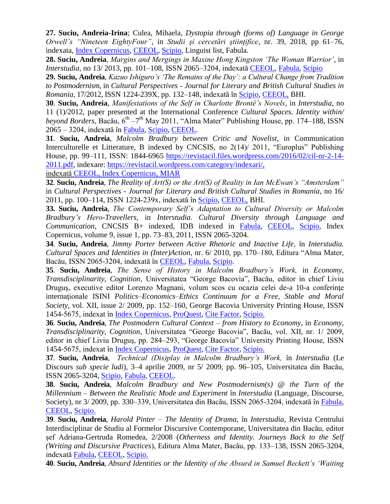**27. Suciu, Andreia-Irina**; Culea, Mihaela, *Dystopia through (forms of) Language in George Orwell's "Nineteen EightyFour"*, in *Studii şi cercetări ştiinţifice*, nr. 39, 2018, pp 61–76, indexata, [Index Copernicus,](https://journals.indexcopernicus.com/search/details?id=42379) [CEEOL,](https://www.ceeol.com/search/journal-detail?id=1535) [Scipio,](http://www.scipio.ro/web/studii-si-cercetari-stiintifice.-seria-filologie) Linguist list, Fabula.

**28. Suciu, Andreia**, *Margins and Mergings in Maxine Hong Kingston 'The Woman Warrior'*, in *Interstudia*, no 13/ 2013, pp. 101–108, ISSN 2065–3204, indexată [CEEOL,](https://www.ceeol.com/search/journal-detail?id=1138) [Fabula,](https://www.fabula.org/actualites/interstudia-n-13-2013_59074.php) [Scipio](http://www.scipio.ro/web/interstudia/home)

**29. Suciu, Andreia**, *Kazuo Ishiguro's 'The Remains of the Day': a Cultural Change from Tradition to Postmodernism*, in *Cultural Perspectives - Journal for Literary and British Cultural Studies in Romania*, 17/2012, ISSN 1224-239X, pp. 132–148, indexată în [Scipio,](http://www.scipio.ro/web/cultural-perspectives.-journal-for-literary-and-british-cultural-studies-in-romania) [CEEOL,](https://www.ceeol.com/search/journal-detail?id=628) BHI.

**30**. **Suciu, Andreia**, *Manifestations of the Self in Charlotte Brontë's Novels*, in *Interstudia*, no 11 (1)/2012, paper presented at the International Conference *Cultural Spaces. Identity within/*  beyond Borders, Bacău, 6<sup>th</sup> –7<sup>th</sup> May 2011, "Alma Mater" Publishing House, pp. 174–188, ISSN 2065 – 3204, indexată în [Fabula,](https://www.fabula.org/actualites/interstudia-n-11-2012vol-1-2-cultural-spaces-identity-within-beyond-borders_59084.php) [Scipio,](http://www.scipio.ro/web/interstudia/home) [CEEOL.](https://www.ceeol.com/search/journal-detail?id=1138)

**31**. **Suciu, Andreia**, *Malcolm Bradbury between Critic and Novelist*, in Communication Interculturelle et Litterature, B indexed by CNCSIS, no 2(14)/ 2011, "Europlus" Publishing House, pp. 99–111, ISSN: 1844-6965 [https://revistacil.files.wordpress.com/2016/02/cil-nr-2-14-](https://revistacil.files.wordpress.com/2016/02/cil-nr-2-14-2011.pdf) [2011.pdf,](https://revistacil.files.wordpress.com/2016/02/cil-nr-2-14-2011.pdf) indexare: [https://revistacil.wordpress.com/category/indexari/,](https://revistacil.wordpress.com/category/indexari/)

[indexată CEEOL,](https://www.ceeol.com/search/journal-detail?id=1648) [Index Copernicus,](https://journals.indexcopernicus.com/search/details?jmlId=2662&org=Communication%20Interculturelle%20et%20Litterature,p2662,3.html) [MIAR](http://miar.ub.edu/issn/1844-6965)

**32**. **Suciu, Andreia**, *The Reality of Art(S) or the Art(S) of Reality in Ian McEwan's "Amsterdam"* in *Cultural Perspectives - Journal for Literary and British Cultural Studies in Romania*, no 16/ 2011, pp. 100–114, ISSN 1224-239x, indexată în [Scipio,](http://www.scipio.ro/web/cultural-perspectives.-journal-for-literary-and-british-cultural-studies-in-romania) [CEEOL,](https://www.ceeol.com/search/journal-detail?id=628) BHI.

**33. Suciu, Andreia**, *The Contemporary Self's Adaptation to Cultural Diversity or Malcolm Bradbury's Hero-Travellers*, in *Interstudia*. *Cultural Diversity through Language and Communication*, CNCSIS B+ indexed, IDB indexed in [Fabula,](https://www.fabula.org/actualites/interstudia-ndeg9-cultural-diversity-through-language-and-communication_46544.php) [CEEOL,](https://www.ceeol.com/search/journal-detail?id=1138) [Scipio,](http://www.scipio.ro/web/interstudia/home) Index Copernicus, volume 9, issue 1, pp. 73–83, 2011, ISSN 2065-3204.

**34**. **Suciu, Andreia**, *Jimmy Porter between Active Rhetoric and Inactive Life*, în *Interstudia. Cultural Spaces and Identities in (Inter)Action*, nr. 6/ 2010, pp. 170–180, Editura "Alma Mater, Bacău, ISSN 2065-3204, indexată în [CEEOL,](https://www.ceeol.com/search/journal-detail?id=1138) [Fabula,](https://www.fabula.org/actualites/interstudia-ndeg6-espaces-culturels-et-identites-en-interaction-cultural-spaces-and-identities-in-_40832.php) [Scipio.](http://www.scipio.ro/web/interstudia/home)

**35**. **Suciu, Andreia**, *The Sense of History in Malcolm Bradbury's Work,* in *Economy, Transdisciplinarity, Cognition*, Universitatea "George Bacovia", Bacău, editor in chief Liviu Drugus, executive editor Lorenzo Magnani, volum scos cu ocazia celei de-a 10-a conferinte internaţionale ISINI *Politics–Economics–Ethics Continuum for a Free, Stable and Moral Society*, vol. XII, issue 2/ 2009, pp. 152–160, George Bacovia University Printing House, ISSN 1454-5675, indexat în [Index Copernicus,](https://journals.indexcopernicus.com/search/details?id=11062) [ProQuest,](https://search.proquest.com/docview/757935757/17DA24A6B6124B03PQ/3?accountid=136808) [Cite Factor,](https://www.citefactor.org/journal/index/1653/economy-transdisciplinarity-cognition#.Xw8BDigzaUm) [Scipio.](http://www.scipio.ro/web/economy-transdisciplinarity-cognition)

**36**. **Suciu, Andreia**, *The Postmodern Cultural Context – from History to Economy*, in *Economy, Transdisciplinarity, Cognition*, Universitatea "George Bacovia", Bacău, vol. XII, nr. 1/ 2009, editor in chief Liviu Druguş, pp. 284–293, "George Bacovia" University Printing House, ISSN 1454-5675, indexat în [Index Copernicus,](https://journals.indexcopernicus.com/search/details?id=11062) [ProQuest,](https://search.proquest.com/docview/757935757/17DA24A6B6124B03PQ/3?accountid=136808) [Cite Factor,](https://www.citefactor.org/journal/index/1653/economy-transdisciplinarity-cognition#.Xw8BDigzaUm) [Scipio.](http://www.scipio.ro/web/economy-transdisciplinarity-cognition)

**37**. **Suciu, Andreia**, *Technical (Dis)play in Malcolm Bradbury's Work,* în *Interstudia* (Le Discours *sub specie ludi*), 3–4 aprilie 2009, nr 5/ 2009, pp. 96–105, Universitatea din Bacău, ISSN 2065-3204, [Scipio,](http://www.scipio.ro/web/interstudia/home) [Fabula,](https://www.fabula.org/actualites/interstudia-ndeg-5-le-discours-sub-specie-ludi_39274.php) [CEEOL.](https://www.ceeol.com/search/journal-detail?id=1138)

**38**. **Suciu, Andreia**, *Malcolm Bradbury and New Postmodernism(s) @ the Turn of the Millennium – Between the Realistic Mode and Experiment* în *Interstudia* (Language, Discourse, Society), nr 3/ 2009, pp. 330–339, Universitatea din Bacău, ISSN 2065-3204, indexată în [Fabula,](https://www.fabula.org/actualites/interstudia-ndeg-5-le-discours-sub-specie-ludi_39274.php) [CEEOL,](https://www.ceeol.com/search/journal-detail?id=1138) [Scipio.](http://www.scipio.ro/web/interstudia/home)

**39**. **Suciu, Andreia**, *Harold Pinter – The Identity of Drama*, în *Interstudia,* Revista Centrului Interdisciplinar de Studiu al Formelor Discursive Contemporane, Universitatea din Bacău, editor şef Adriana-Gertruda Romedea, 2/2008 (*Otherness and Identity. Journeys Back to the Self (Writing and Discursive Practices*), Editura Alma Mater, Bacău, pp. 133–138, ISSN 2065-3204, indexată [Fabula,](https://www.fabula.org/actualites/interstudia-ndeg-5-le-discours-sub-specie-ludi_39274.php) [CEEOL,](https://www.ceeol.com/search/journal-detail?id=1138) [Scipio.](http://www.scipio.ro/web/interstudia/home)

**40**. **Suciu, Andreia**, *Absurd Identities or the Identity of the Absurd in Samuel Beckett's 'Waiting*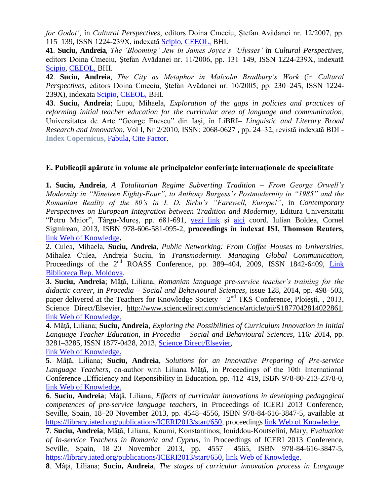*for Godot'*, în *Cultural Perspectives*, editors Doina Cmeciu, Ştefan Avădanei nr. 12/2007, pp. 115–139, ISSN 1224-239X, indexată [Scipio,](http://www.scipio.ro/web/cultural-perspectives.-journal-for-literary-and-british-cultural-studies-in-romania) [CEEOL,](https://www.ceeol.com/search/journal-detail?id=628) BHI.

**41**. **Suciu, Andreia**, *The 'Blooming' Jew in James Joyce's 'Ulysses'* în *Cultural Perspectives*, editors Doina Cmeciu, Ştefan Avădanei nr. 11/2006, pp. 131–149, ISSN 1224-239X, indexată [Scipio,](http://www.scipio.ro/web/cultural-perspectives.-journal-for-literary-and-british-cultural-studies-in-romania) [CEEOL,](https://www.ceeol.com/search/journal-detail?id=628) BHI.

**42**. **Suciu, Andreia**, *The City as Metaphor in Malcolm Bradbury's Work* (în *Cultural Perspectives*, editors Doina Cmeciu, Ştefan Avădanei nr. 10/2005, pp. 230–245, ISSN 1224- 239X), indexata [Scipio,](http://www.scipio.ro/web/cultural-perspectives.-journal-for-literary-and-british-cultural-studies-in-romania) [CEEOL,](https://www.ceeol.com/search/journal-detail?id=628) BHI.

**43**. **Suciu, Andreia**; Lupu, Mihaela, *Exploration of the gaps in policies and practices of reforming initial teacher education for the curricular area of language and communication*, Universitatea de Arte "George Enescu" din Iași, în LiBRI*– Linguistic and Literary Broad Research and Innovation*, Vol I, Nr 2/2010, ISSN: 2068-0627 , pp. 24–32, revistă indexată BDI - **[Index Copernicus,](https://journals.indexcopernicus.com/search/details?jmlId=9400&org=LiBRI%20Linguistic%20and%20Literary%20Broad%20Research%20and%20Innovation,p9400,3.html)** [Fabula,](https://www.fabula.org/actualites/libri-vol-1-ndeg2-2010_45636.php) [Cite Factor.](https://www.citefactor.org/journal/index/5860/libri-linguistic-and-literary-broad-research-and-innovation#.Xw2sJigzaUl)

### **E. Publicații apărute în volume ale principalelor conferințe internaționale de specialitate**

**1. Suciu, Andreia**, *A Totalitarian Regime Subverting Tradition – From George Orwell's Modernity in "Nineteen Eighty-Four", to Anthony Burgess's Postmodernity in "1985" and the Romanian Reality of the 80's in I. D. Sîrbu's "Farewell, Europe!"*, in *Contemporary Perspectives on European Integration between Tradition and Modernity*, Editura Universitatii "Petru Maior", Târgu-Mureș, pp. 681-691, [vezi link](https://old.upm.ro/facultati_departamente/stiinte_litere/conferinte/situl_integrare_europeana/engllist5.html) și [aici](https://old.upm.ro/facultati_departamente/stiinte_litere/conferinte/situl_integrare_europeana/Lucrari5/IETM5_Part82.pdf) coord. Iulian Boldea, Cornel Sigmirean, 2013, ISBN 978-606-581-095-2, **proceedings în indexat ISI, Thomson Reuters,**  [link Web of Knowledge](https://apps.webofknowledge.com/full_record.do?product=WOS&search_mode=GeneralSearch&qid=1&SID=D5hqnles8q2xtswp58j&page=1&doc=8)**.**

2. Culea, Mihaela, **Suciu, Andreia**, *Public Networking: From Coffee Houses to Universities*, Mihalea Culea, Andreia Suciu, în *Transmodernity. Managing Global Communication*, Proceedings of the  $2<sup>nd</sup>$  ROASS Conference, pp. 389–404, 2009, ISSN 1842-6409, Link [Biblioteca Rep. Moldova.](http://cc.sibimol.bnrm.md/opac/bibliographic_view/514865;jsessionid=E572F38AA65E44EEB1B033039A250479)

**3. Suciu, Andreia**; Mâţă, Liliana, *Romanian language pre-service teacher's training for the didactic career*, in *Procedia – Social and Behavioural Sciences*, issue 128, 2014, pp. 498–503, paper delivered at the Teachers for Knowledge Society –  $2<sup>nd</sup>$  TKS Conference, Ploiești, , 2013, Science Direct/Elsevier, [http://www.sciencedirect.com/science/article/pii/S1877042814022861,](http://www.sciencedirect.com/science/article/pii/S1877042814022861) [link Web of Knowledge.](https://apps.webofknowledge.com/full_record.do?product=WOS&search_mode=GeneralSearch&qid=1&SID=D5hqnles8q2xtswp58j&page=1&doc=4)

**4**. Mâţă, Liliana; **Suciu, Andreia**, *Exploring the Possibilities of Curriculum Innovation in Initial Language Teacher Education,* in *Procedia – Social and Behavioural Sciences,* 116/ 2014, pp. 3281–3285, ISSN 1877-0428, 2013, [Science Direct/Elsevier,](https://www.sciencedirect.com/science/article/pii/S1877042814007654)

[link Web of Knowledge.](https://apps.webofknowledge.com/full_record.do?product=WOS&search_mode=GeneralSearch&qid=1&SID=D5hqnles8q2xtswp58j&page=1&doc=3)

**5**. Mâţă, Liliana; **Suciu, Andreia**, *Solutions for an Innovative Preparing of Pre-service Language Teachers*, co-author with Liliana Mâtă, in Proceedings of the 10th International Conference "Efficiency and Reponsibility in Education, pp. 412–419, ISBN 978-80-213-2378-0, [link Web of Knowledge.](https://apps.webofknowledge.com/full_record.do?product=WOS&search_mode=GeneralSearch&qid=1&SID=D5hqnles8q2xtswp58j&page=1&doc=5)

**6**. **Suciu, Andreia**; Mâţă, Liliana; *Effects of curricular innovations in developing pedagogical competences of pre-service language teachers*, in Proceedings of ICERI 2013 Conference, Seville, Spain, 18–20 November 2013, pp. 4548–4556, ISBN 978-84-616-3847-5, available at [https://library.iated.org/publications/ICERI2013/start/650,](https://library.iated.org/publications/ICERI2013/start/650) proceedings link Web [of Knowledge.](https://apps.webofknowledge.com/full_record.do?product=WOS&search_mode=GeneralSearch&qid=1&SID=D5hqnles8q2xtswp58j&page=1&doc=6)

**7**. **Suciu, Andreia**; Mâţă, Liliana, Koumi, Konstantinos; Ioniddou-Koutselini, Mary, *Evaluation of In-service Teachers in Romania and Cyprus*, in Proceedings of ICERI 2013 Conference, Seville, Spain, 18–20 November 2013, pp. 4557– 4565, ISBN 978-84-616-3847-5, [https://library.iated.org/publications/ICERI2013/start/650,](https://library.iated.org/publications/ICERI2013/start/650) [link Web of Knowledge.](https://apps.webofknowledge.com/full_record.do?product=WOS&search_mode=GeneralSearch&qid=1&SID=D5hqnles8q2xtswp58j&page=1&doc=7)

**8**. Mâţă, Liliana; **Suciu, Andreia**, *The stages of curricular innovation process in Language*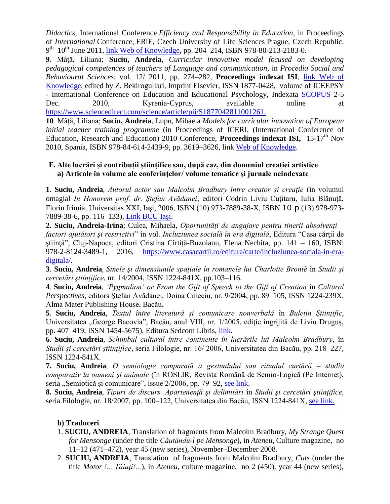*Didactics,* International Conference *Efficiency and Responsibility in Education*, in Proceedings of *International* Conference, ERiE, Czech University of Life Sciences Prague, Czech Republic, 9 th –10th June 2011, [link Web of Knowledge](https://apps.webofknowledge.com/full_record.do?product=WOS&search_mode=GeneralSearch&qid=1&SID=E5k6zphkrzGsp49HJmu&page=1&doc=9)**,** pp. 204–214, ISBN 978-80-213-2183-0.

**9**. Mâţă, Liliana; **Suciu, Andreia**, *Curricular innovative model focused on developing pedagogical competences of teachers of Language and communication*, in *Procedia Social and Behavioural Sciences*, vol. 12/ 2011, pp. 274–282, **Proceedings indexat ISI**, [link Web of](https://apps.webofknowledge.com/full_record.do?product=WOS&search_mode=GeneralSearch&qid=1&SID=E5k6zphkrzGsp49HJmu&page=1&doc=10)  [Knowledge,](https://apps.webofknowledge.com/full_record.do?product=WOS&search_mode=GeneralSearch&qid=1&SID=E5k6zphkrzGsp49HJmu&page=1&doc=10) edited by Z. Bekirogullari, Imprint Elsevier, ISSN 1877-0428, volume of ICEEPSY - International Conference on Education and Educational Psychology, Indexata [SCOPUS](https://www.scopus.com/authid/detail.uri?authorId=37063827000) 2-5 Dec. 2010, Kyrenia-Cyprus, available online at [https://www.sciencedirect.com/science/article/pii/S1877042811001261.](https://www.sciencedirect.com/science/article/pii/S1877042811001261)

**10**. Mâţă, Liliana; **Suciu, Andreia**, Lupu, Mihaela *Models for curricular innovation of European initial teacher training programme* (in Proceedings of ICERI, (International Conference of Education, Research and Education) 2010 Conference, **Proceedings indexat ISI**, 15-17<sup>th</sup> Nov 2010, Spania, ISBN 978-84-614-2439-9, pp. 3619–3626, link [Web of Knowledge.](https://apps.webofknowledge.com/full_record.do?product=WOS&search_mode=GeneralSearch&qid=1&SID=E5k6zphkrzGsp49HJmu&page=2&doc=11)

## **F. Alte lucrări și contribuții științifice sau, după caz, din domeniul creației artistice a) Articole în volume ale conferinţelor/ volume tematice şi jurnale neindexate**

**1**. **Suciu, Andreia**, *Autorul actor sau Malcolm Bradbury între creator şi creaţie* (în volumul omagial *In Honorem prof. dr. Ştefan Avădanei*, editori Codrin Liviu Cuţitaru, Iulia Blănuţă, Florin Irimia, Universitas XXI, Iaşi, 2006, ISBN (10) 973-7889-38-X, ISBN 10 p (13) 978-973- 7889-38-6, pp. 116–133), [Link BCU Iaşi.](http://193.231.13.10:8991/F/V12Y44Q4INL865B89RDYF8K2XTA1V9UMFQPKEALVHINTA3S26S-12318?func=full-set-set&set_number=011748&set_entry=000106&format=999)

**2. Suciu, Andreia-Irina**; Culea, Mihaela, *Oportunități de angajare pentru tinerii absolventi – factori ajutători şi restrictivi*" în vol. *Incluziunea socială în era digitală*, Editura "Casa cărţii de ştiinţă", Cluj-Napoca, editori Cristina Cîrtiţă-Buzoianu, Elena Nechita, pp. 141 – 160, ISBN: 978-2-8124-3489-1, 2016, [https://www.casacartii.ro/editura/carte/incluziunea-sociala-in-era](https://www.casacartii.ro/editura/carte/incluziunea-sociala-in-era-digitala/)[digitala/.](https://www.casacartii.ro/editura/carte/incluziunea-sociala-in-era-digitala/)

**3**. **Suciu, Andreia**, *Sinele şi dimensiunile spaţiale în romanele lui Charlotte Brontë* în *Studii şi cercetări ştiinţifice*, nr. 14/2004, ISSN 1224-841X, pp.103–116.

**4**. **Suciu, Andreia**, *'Pygmalion' or From the Gift of Speech to the Gift of Creation* în *Cultural Perspectives*, editors Ştefan Avădanei, Doina Cmeciu, nr. 9/2004, pp. 89–105, ISSN 1224-239X, Alma Mater Publishing House, Bacău**.**

**5**. **Suciu, Andreia**, *Textul între literatură şi comunicare nonverbală* în *Buletin Ştiinţific*, Universitatea "George Bacovia", Bacău, anul VIII, nr. 1/2005, ediție îngrijită de Liviu Druguș, pp. 407–419, ISSN 1454-5675), Editura Sedcom Libris, [link.](http://www.ugb.ro/Conferinte/UGB%202005.pdf)

**6**. **Suciu, Andreia**, *Schimbul cultural între continente în lucrările lui Malcolm Bradbury*, în *Studii şi cercetări ştiinţifice*, seria Filologie, nr. 16/ 2006, Universitatea din Bacău, pp. 218–227, ISSN 1224-841X.

**7. Suciu, Andreia**, *O semiologie comparată a gestualului sau ritualul curtării – studiu comparativ la oameni şi animale* (în ROSLIR, Revista Română de Semio-Logică (Pe Internet), seria "Semiotică și comunicare", issue 2/2006, pp. 79–92, [see link.](http://www.roslir.goldenideashome.com/archiv/2006_2/ROSLIR%202%202006.pdf)

**8. Suciu, Andreia**, *Tipuri de discurs. Apartenenţă şi delimitări* în *Studii şi cercetări ştiinţifice*, seria Filologie, nr. 18/2007, pp. 100–122, Universitatea din Bacău, ISSN 1224-841X, [see link.](http://studiisicercetari.ub.ro/archives/scs-no-182007/)

## **b) Traduceri**

- 1. **SUCIU, ANDREIA**, Translation of fragments from Malcolm Bradbury, *My Strange Quest for Mensonge* (under the title *Căutându-l pe Mensonge*), in *Ateneu*, Culture magazine, no 11–12 (471–472), year 45 (new series), November–December 2008.
- 2. **SUCIU, ANDREIA**, Translation of fragments from Malcolm Bradbury, *Cuts* (under the title *Motor !... Tăiați!...*), in *Ateneu*, culture magazine, no 2 (450), year 44 (new series),